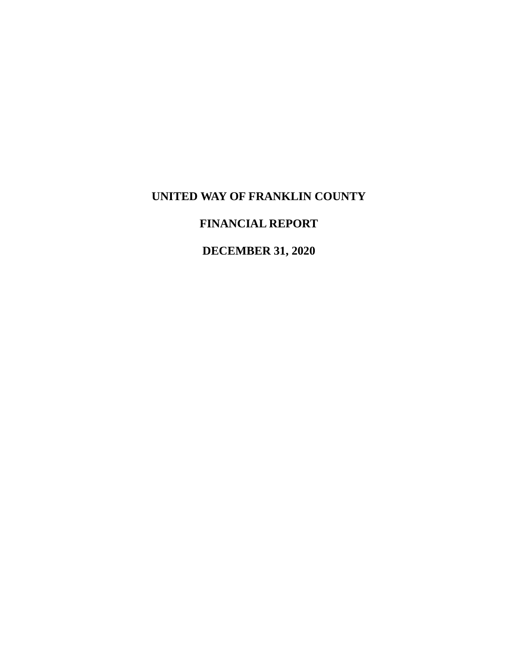# **FINANCIAL REPORT**

# **DECEMBER 31, 2020**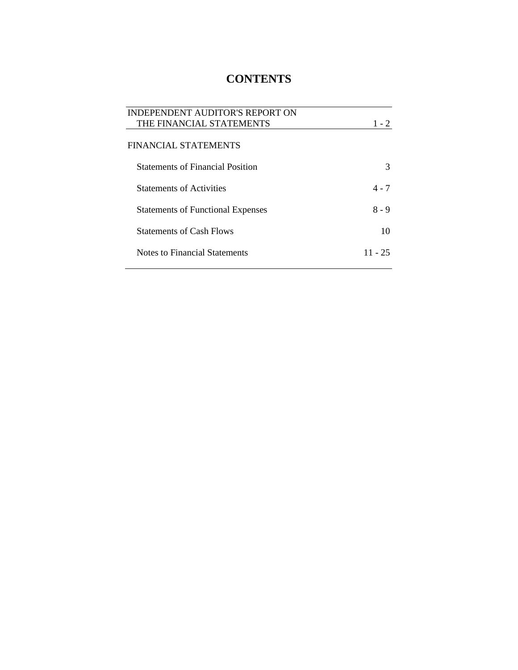# **CONTENTS**

| INDEPENDENT AUDITOR'S REPORT ON          |         |
|------------------------------------------|---------|
| THE FINANCIAL STATEMENTS                 | $1 - 2$ |
| FINANCIAL STATEMENTS                     |         |
| <b>Statements of Financial Position</b>  | 3       |
|                                          |         |
| <b>Statements of Activities</b>          | 4 - 7   |
| <b>Statements of Functional Expenses</b> | $8 - 9$ |
| <b>Statements of Cash Flows</b>          | 10      |
| Notes to Financial Statements            | 11 - 25 |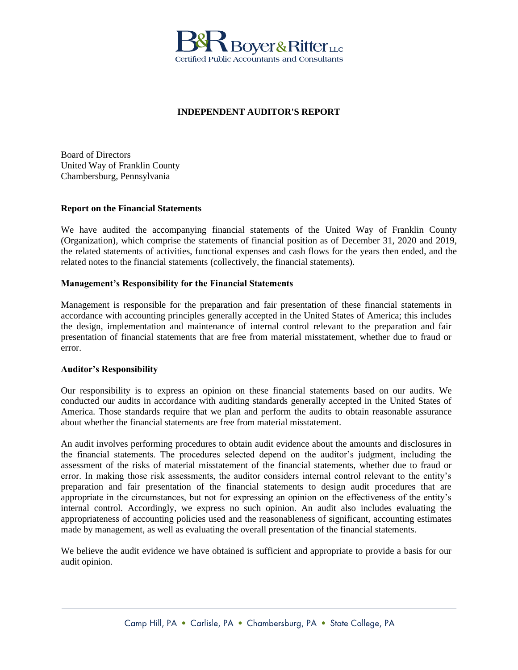

## **INDEPENDENT AUDITOR'S REPORT**

Board of Directors United Way of Franklin County Chambersburg, Pennsylvania

#### **Report on the Financial Statements**

We have audited the accompanying financial statements of the United Way of Franklin County (Organization), which comprise the statements of financial position as of December 31, 2020 and 2019, the related statements of activities, functional expenses and cash flows for the years then ended, and the related notes to the financial statements (collectively, the financial statements).

#### **Management's Responsibility for the Financial Statements**

Management is responsible for the preparation and fair presentation of these financial statements in accordance with accounting principles generally accepted in the United States of America; this includes the design, implementation and maintenance of internal control relevant to the preparation and fair presentation of financial statements that are free from material misstatement, whether due to fraud or error.

#### **Auditor's Responsibility**

Our responsibility is to express an opinion on these financial statements based on our audits. We conducted our audits in accordance with auditing standards generally accepted in the United States of America. Those standards require that we plan and perform the audits to obtain reasonable assurance about whether the financial statements are free from material misstatement.

An audit involves performing procedures to obtain audit evidence about the amounts and disclosures in the financial statements. The procedures selected depend on the auditor's judgment, including the assessment of the risks of material misstatement of the financial statements, whether due to fraud or error. In making those risk assessments, the auditor considers internal control relevant to the entity's preparation and fair presentation of the financial statements to design audit procedures that are appropriate in the circumstances, but not for expressing an opinion on the effectiveness of the entity's internal control. Accordingly, we express no such opinion. An audit also includes evaluating the appropriateness of accounting policies used and the reasonableness of significant, accounting estimates made by management, as well as evaluating the overall presentation of the financial statements.

We believe the audit evidence we have obtained is sufficient and appropriate to provide a basis for our audit opinion.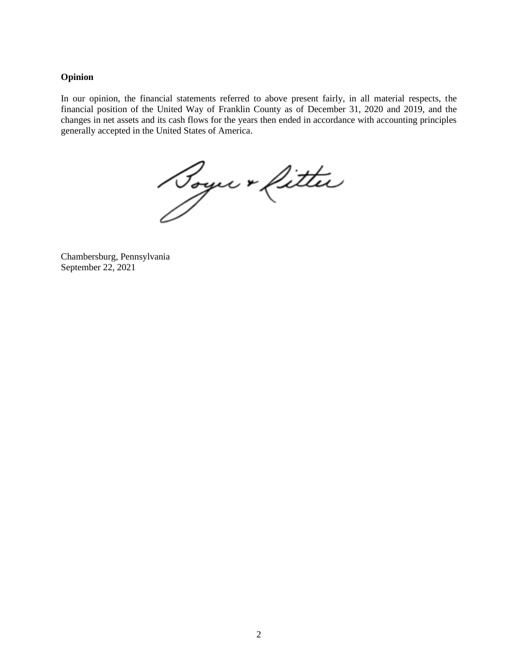# **Opinion**

In our opinion, the financial statements referred to above present fairly, in all material respects, the financial position of the United Way of Franklin County as of December 31, 2020 and 2019, and the changes in net assets and its cash flows for the years then ended in accordance with accounting principles generally accepted in the United States of America.

Boyer & fitter

Chambersburg, Pennsylvania September 22, 2021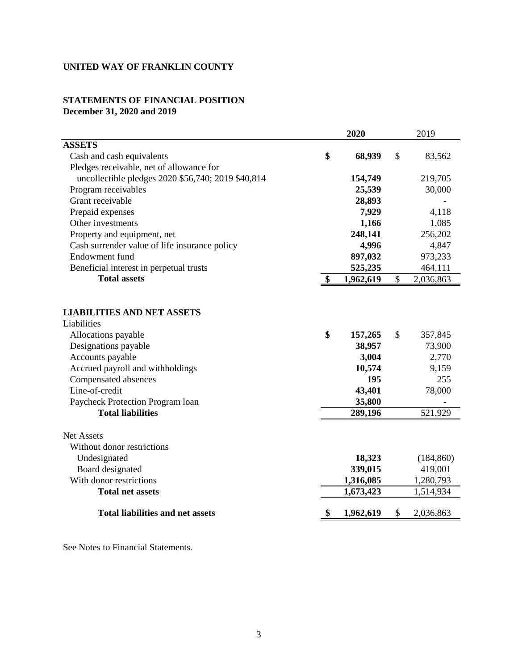# **STATEMENTS OF FINANCIAL POSITION December 31, 2020 and 2019**

|                                                                                                                                                                                                  |    | 2020                                                            |               | 2019                                                 |
|--------------------------------------------------------------------------------------------------------------------------------------------------------------------------------------------------|----|-----------------------------------------------------------------|---------------|------------------------------------------------------|
| <b>ASSETS</b>                                                                                                                                                                                    |    |                                                                 |               |                                                      |
| Cash and cash equivalents                                                                                                                                                                        | \$ | 68,939                                                          | $\mathcal{S}$ | 83,562                                               |
| Pledges receivable, net of allowance for                                                                                                                                                         |    |                                                                 |               |                                                      |
| uncollectible pledges 2020 \$56,740; 2019 \$40,814                                                                                                                                               |    | 154,749                                                         |               | 219,705                                              |
| Program receivables                                                                                                                                                                              |    | 25,539                                                          |               | 30,000                                               |
| Grant receivable                                                                                                                                                                                 |    | 28,893                                                          |               |                                                      |
| Prepaid expenses                                                                                                                                                                                 |    | 7,929                                                           |               | 4,118                                                |
| Other investments                                                                                                                                                                                |    | 1,166                                                           |               | 1,085                                                |
| Property and equipment, net                                                                                                                                                                      |    | 248,141                                                         |               | 256,202                                              |
| Cash surrender value of life insurance policy                                                                                                                                                    |    | 4,996                                                           |               | 4,847                                                |
| Endowment fund                                                                                                                                                                                   |    | 897,032                                                         |               | 973,233                                              |
| Beneficial interest in perpetual trusts                                                                                                                                                          |    | 525,235                                                         |               | 464,111                                              |
| <b>Total assets</b>                                                                                                                                                                              | \$ | 1,962,619                                                       | \$            | 2,036,863                                            |
| Liabilities<br>Allocations payable<br>Designations payable<br>Accounts payable<br>Accrued payroll and withholdings<br>Compensated absences<br>Line-of-credit<br>Paycheck Protection Program loan | \$ | 157,265<br>38,957<br>3,004<br>10,574<br>195<br>43,401<br>35,800 | \$            | 357,845<br>73,900<br>2,770<br>9,159<br>255<br>78,000 |
| <b>Total liabilities</b>                                                                                                                                                                         |    | 289,196                                                         |               | 521,929                                              |
| <b>Net Assets</b><br>Without donor restrictions<br>Undesignated<br>Board designated                                                                                                              |    | 18,323<br>339,015                                               |               | (184, 860)<br>419,001                                |
| With donor restrictions                                                                                                                                                                          |    | 1,316,085                                                       |               | 1,280,793                                            |
| <b>Total net assets</b>                                                                                                                                                                          |    | 1,673,423                                                       |               | 1,514,934                                            |
| <b>Total liabilities and net assets</b>                                                                                                                                                          | S  | 1,962,619                                                       | \$            | 2,036,863                                            |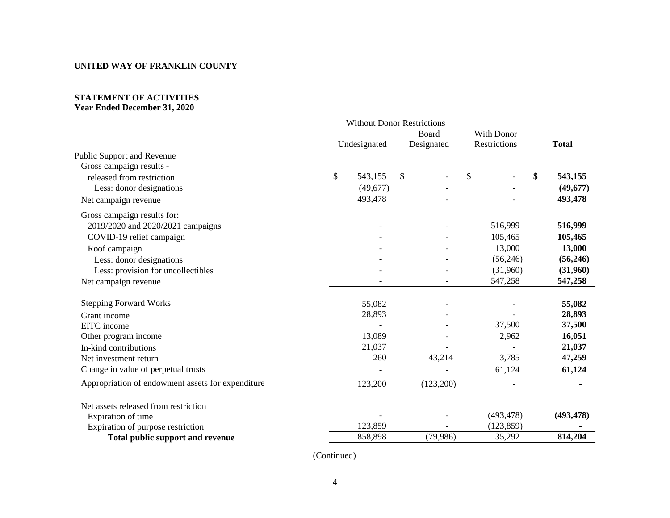# **STATEMENT OF ACTIVITIES**

# **Year Ended December 31, 2020**

|                                                   | <b>Without Donor Restrictions</b> |    |                          |              |            |               |
|---------------------------------------------------|-----------------------------------|----|--------------------------|--------------|------------|---------------|
|                                                   |                                   |    | Board                    | With Donor   |            |               |
|                                                   | Undesignated                      |    | Designated               | Restrictions |            | <b>Total</b>  |
| <b>Public Support and Revenue</b>                 |                                   |    |                          |              |            |               |
| Gross campaign results -                          |                                   |    |                          |              |            |               |
| released from restriction                         | \$<br>543,155                     | \$ |                          | \$           |            | \$<br>543,155 |
| Less: donor designations                          | (49,677)                          |    |                          |              |            | (49,677)      |
| Net campaign revenue                              | 493,478                           |    |                          |              |            | 493,478       |
| Gross campaign results for:                       |                                   |    |                          |              |            |               |
| 2019/2020 and 2020/2021 campaigns                 |                                   |    |                          |              | 516,999    | 516,999       |
| COVID-19 relief campaign                          |                                   |    |                          |              | 105,465    | 105,465       |
| Roof campaign                                     |                                   |    |                          |              | 13,000     | 13,000        |
| Less: donor designations                          |                                   |    |                          |              | (56,246)   | (56, 246)     |
| Less: provision for uncollectibles                |                                   |    |                          |              | (31,960)   | (31,960)      |
| Net campaign revenue                              | $\overline{\phantom{a}}$          |    | $\overline{\phantom{0}}$ |              | 547,258    | 547,258       |
| <b>Stepping Forward Works</b>                     | 55,082                            |    |                          |              |            | 55,082        |
| Grant income                                      | 28,893                            |    |                          |              |            | 28,893        |
| EITC income                                       |                                   |    |                          |              | 37,500     | 37,500        |
| Other program income                              | 13,089                            |    |                          |              | 2,962      | 16,051        |
| In-kind contributions                             | 21,037                            |    |                          |              |            | 21,037        |
| Net investment return                             | 260                               |    | 43,214                   |              | 3,785      | 47,259        |
| Change in value of perpetual trusts               |                                   |    |                          |              | 61,124     | 61,124        |
| Appropriation of endowment assets for expenditure | 123,200                           |    | (123,200)                |              |            |               |
| Net assets released from restriction              |                                   |    |                          |              |            |               |
| Expiration of time                                |                                   |    |                          |              | (493, 478) | (493, 478)    |
| Expiration of purpose restriction                 | 123,859                           |    |                          |              | (123, 859) |               |
| <b>Total public support and revenue</b>           | 858,898                           |    | (79, 986)                |              | 35,292     | 814,204       |

(Continued)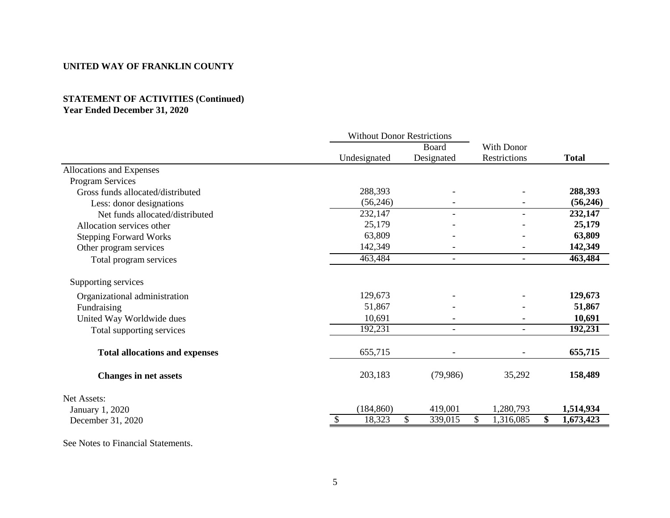# **STATEMENT OF ACTIVITIES (Continued)**

**Year Ended December 31, 2020**

|                                       | <b>Without Donor Restrictions</b> |                          |                 |                 |
|---------------------------------------|-----------------------------------|--------------------------|-----------------|-----------------|
|                                       |                                   | Board                    | With Donor      |                 |
|                                       | Undesignated                      | Designated               | Restrictions    | <b>Total</b>    |
| Allocations and Expenses              |                                   |                          |                 |                 |
| <b>Program Services</b>               |                                   |                          |                 |                 |
| Gross funds allocated/distributed     | 288,393                           |                          |                 | 288,393         |
| Less: donor designations              | (56,246)                          |                          |                 | (56,246)        |
| Net funds allocated/distributed       | 232,147                           |                          |                 | 232,147         |
| Allocation services other             | 25,179                            |                          |                 | 25,179          |
| <b>Stepping Forward Works</b>         | 63,809                            |                          |                 | 63,809          |
| Other program services                | 142,349                           |                          |                 | 142,349         |
| Total program services                | 463,484                           | $\overline{\phantom{a}}$ |                 | 463,484         |
| Supporting services                   |                                   |                          |                 |                 |
| Organizational administration         | 129,673                           |                          |                 | 129,673         |
| Fundraising                           | 51,867                            |                          |                 | 51,867          |
| United Way Worldwide dues             | 10,691                            |                          |                 | 10,691          |
| Total supporting services             | 192,231                           |                          |                 | 192,231         |
| <b>Total allocations and expenses</b> | 655,715                           |                          |                 | 655,715         |
| <b>Changes in net assets</b>          | 203,183                           | (79,986)                 | 35,292          | 158,489         |
| Net Assets:                           |                                   |                          |                 |                 |
| January 1, 2020                       | (184, 860)                        | 419,001                  | 1,280,793       | 1,514,934       |
| December 31, 2020                     | 18,323<br>\$                      | 339,015<br>\$            | \$<br>1,316,085 | \$<br>1,673,423 |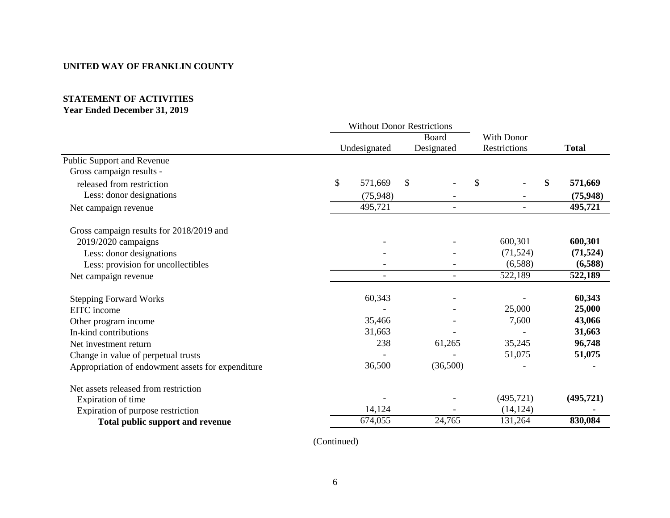# **STATEMENT OF ACTIVITIES**

# **Year Ended December 31, 2019**

|                                                   |    | <b>Without Donor Restrictions</b> |                |               |            |    |              |  |
|---------------------------------------------------|----|-----------------------------------|----------------|---------------|------------|----|--------------|--|
|                                                   |    | Board                             |                | With Donor    |            |    |              |  |
|                                                   |    | Undesignated                      | Designated     | Restrictions  |            |    | <b>Total</b> |  |
| <b>Public Support and Revenue</b>                 |    |                                   |                |               |            |    |              |  |
| Gross campaign results -                          |    |                                   |                |               |            |    |              |  |
| released from restriction                         | \$ | 571,669                           | \$             | $\mathcal{S}$ |            | \$ | 571,669      |  |
| Less: donor designations                          |    | (75,948)                          | $\blacksquare$ |               |            |    | (75, 948)    |  |
| Net campaign revenue                              |    | 495,721                           |                |               |            |    | 495,721      |  |
| Gross campaign results for 2018/2019 and          |    |                                   |                |               |            |    |              |  |
| 2019/2020 campaigns                               |    |                                   |                |               | 600,301    |    | 600,301      |  |
| Less: donor designations                          |    |                                   |                |               | (71, 524)  |    | (71, 524)    |  |
| Less: provision for uncollectibles                |    |                                   |                |               | (6,588)    |    | (6,588)      |  |
| Net campaign revenue                              |    |                                   | $\overline{a}$ |               | 522,189    |    | 522,189      |  |
| <b>Stepping Forward Works</b>                     |    | 60,343                            |                |               |            |    | 60,343       |  |
| EITC income                                       |    |                                   |                |               | 25,000     |    | 25,000       |  |
| Other program income                              |    | 35,466                            |                |               | 7,600      |    | 43,066       |  |
| In-kind contributions                             |    | 31,663                            |                |               |            |    | 31,663       |  |
| Net investment return                             |    | 238                               | 61,265         |               | 35,245     |    | 96,748       |  |
| Change in value of perpetual trusts               |    |                                   |                |               | 51,075     |    | 51,075       |  |
| Appropriation of endowment assets for expenditure |    | 36,500                            | (36,500)       |               |            |    |              |  |
| Net assets released from restriction              |    |                                   |                |               |            |    |              |  |
| Expiration of time                                |    |                                   |                |               | (495, 721) |    | (495, 721)   |  |
| Expiration of purpose restriction                 |    | 14,124                            |                |               | (14, 124)  |    |              |  |
| Total public support and revenue                  |    | 674,055                           | 24,765         |               | 131,264    |    | 830,084      |  |

(Continued)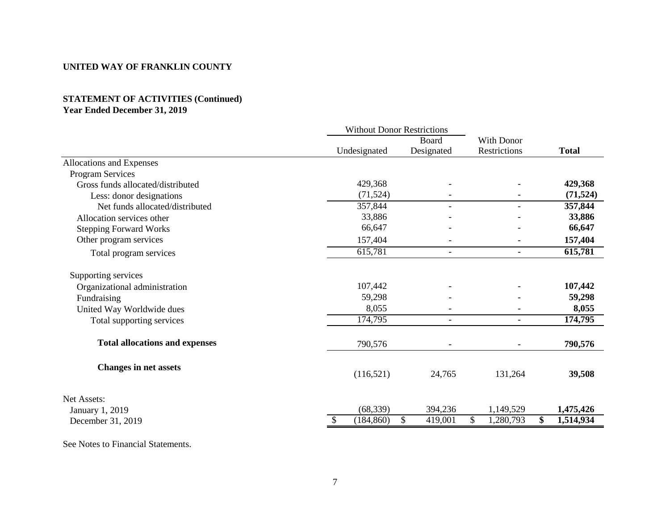# **STATEMENT OF ACTIVITIES (Continued)**

**Year Ended December 31, 2019**

|                                       |                  | <b>Without Donor Restrictions</b> |                            |         |     |              |
|---------------------------------------|------------------|-----------------------------------|----------------------------|---------|-----|--------------|
|                                       | Undesignated     | Board<br>Designated               | With Donor<br>Restrictions |         |     | <b>Total</b> |
| <b>Allocations and Expenses</b>       |                  |                                   |                            |         |     |              |
| Program Services                      |                  |                                   |                            |         |     |              |
| Gross funds allocated/distributed     | 429,368          |                                   |                            |         |     | 429,368      |
| Less: donor designations              | (71, 524)        |                                   |                            |         |     | (71, 524)    |
| Net funds allocated/distributed       | 357,844          | $\overline{a}$                    |                            |         |     | 357,844      |
| Allocation services other             | 33,886           |                                   |                            |         |     | 33,886       |
| <b>Stepping Forward Works</b>         | 66,647           |                                   |                            |         |     | 66,647       |
| Other program services                | 157,404          |                                   |                            |         |     | 157,404      |
| Total program services                | 615,781          |                                   |                            |         |     | 615,781      |
| Supporting services                   |                  |                                   |                            |         |     |              |
| Organizational administration         | 107,442          |                                   |                            |         |     | 107,442      |
| Fundraising                           | 59,298           |                                   |                            |         |     | 59,298       |
| United Way Worldwide dues             | 8,055            |                                   |                            |         |     | 8,055        |
| Total supporting services             | 174,795          | $\overline{\phantom{a}}$          |                            |         |     | 174,795      |
| <b>Total allocations and expenses</b> | 790,576          |                                   |                            |         |     | 790,576      |
| <b>Changes in net assets</b>          | (116,521)        | 24,765                            |                            | 131,264 |     | 39,508       |
| Net Assets:                           |                  |                                   |                            |         |     |              |
| January 1, 2019                       | (68, 339)        | 394,236                           | 1,149,529                  |         |     | 1,475,426    |
| December 31, 2019                     | \$<br>(184, 860) | 419,001<br>\$                     | 1,280,793<br>\$            |         | SS. | 1,514,934    |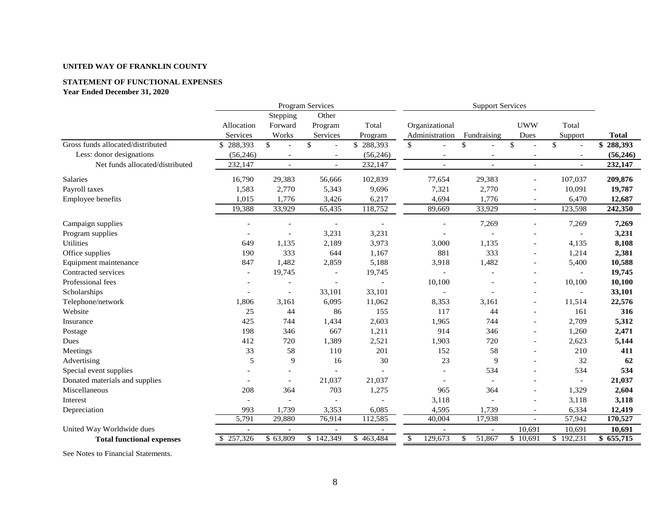#### **STATEMENT OF FUNCTIONAL EXPENSES**

**Year Ended December 31, 2020**

|                                   |            |                          | <b>Program Services</b>  |           |               | <b>Support Services</b>  |                          |                          |                          |              |  |
|-----------------------------------|------------|--------------------------|--------------------------|-----------|---------------|--------------------------|--------------------------|--------------------------|--------------------------|--------------|--|
|                                   |            | Stepping                 | Other                    |           |               |                          |                          |                          |                          |              |  |
|                                   | Allocation | Forward                  | Program                  | Total     |               | Organizational           |                          | <b>UWW</b>               | Total                    |              |  |
|                                   | Services   | Works                    | Services                 | Program   |               | Administration           | Fundraising              | Dues                     | Support                  | <b>Total</b> |  |
| Gross funds allocated/distributed | \$288,393  | $\mathbb{S}$             | \$                       | \$288,393 | $\mathcal{S}$ |                          | \$                       | \$                       | $\mathbb{S}$             | \$288,393    |  |
| Less: donor designations          | (56, 246)  | $\overline{\phantom{a}}$ | $\overline{\phantom{a}}$ | (56, 246) |               | $\overline{\phantom{a}}$ | $\overline{\phantom{a}}$ |                          | $\overline{\phantom{a}}$ | (56,246)     |  |
| Net funds allocated/distributed   | 232,147    | $\overline{a}$           | $\blacksquare$           | 232,147   |               | $\overline{a}$           | $\sim$                   | $\sim$                   | $\overline{a}$           | 232,147      |  |
| Salaries                          | 16,790     | 29,383                   | 56,666                   | 102,839   |               | 77,654                   | 29,383                   | $\overline{\phantom{a}}$ | 107,037                  | 209,876      |  |
| Payroll taxes                     | 1,583      | 2,770                    | 5,343                    | 9,696     |               | 7,321                    | 2,770                    |                          | 10,091                   | 19,787       |  |
| Employee benefits                 | 1,015      | 1,776                    | 3,426                    | 6,217     |               | 4,694                    | 1,776                    |                          | 6,470                    | 12,687       |  |
|                                   | 19,388     | 33,929                   | 65,435                   | 118,752   |               | 89,669                   | 33,929                   | $\overline{\phantom{a}}$ | 123,598                  | 242,350      |  |
| Campaign supplies                 |            |                          |                          |           |               |                          | 7,269                    |                          | 7,269                    | 7,269        |  |
| Program supplies                  |            |                          | 3,231                    | 3,231     |               |                          |                          |                          |                          | 3,231        |  |
| <b>Utilities</b>                  | 649        | 1,135                    | 2,189                    | 3,973     |               | 3,000                    | 1,135                    |                          | 4,135                    | 8,108        |  |
| Office supplies                   | 190        | 333                      | 644                      | 1,167     |               | 881                      | 333                      |                          | 1,214                    | 2,381        |  |
| Equipment maintenance             | 847        | 1,482                    | 2,859                    | 5,188     |               | 3,918                    | 1,482                    |                          | 5,400                    | 10,588       |  |
| Contracted services               | $\sim$     | 19,745                   |                          | 19,745    |               |                          |                          |                          |                          | 19,745       |  |
| Professional fees                 |            |                          |                          |           |               | 10,100                   |                          |                          | 10,100                   | 10,100       |  |
| Scholarships                      |            | $\overline{a}$           | 33,101                   | 33,101    |               |                          |                          |                          |                          | 33,101       |  |
| Telephone/network                 | 1,806      | 3,161                    | 6,095                    | 11,062    |               | 8,353                    | 3,161                    |                          | 11,514                   | 22,576       |  |
| Website                           | 25         | 44                       | 86                       | 155       |               | 117                      | 44                       |                          | 161                      | 316          |  |
| Insurance                         | 425        | 744                      | 1,434                    | 2,603     |               | 1,965                    | 744                      |                          | 2,709                    | 5,312        |  |
| Postage                           | 198        | 346                      | 667                      | 1,211     |               | 914                      | 346                      |                          | 1,260                    | 2,471        |  |
| Dues                              | 412        | 720                      | 1,389                    | 2,521     |               | 1,903                    | 720                      |                          | 2,623                    | 5,144        |  |
| Meetings                          | 33         | 58                       | 110                      | 201       |               | 152                      | 58                       |                          | 210                      | 411          |  |
| Advertising                       | 5          | 9                        | 16                       | 30        |               | 23                       | 9                        |                          | 32                       | 62           |  |
| Special event supplies            |            |                          |                          |           |               |                          | 534                      |                          | 534                      | 534          |  |
| Donated materials and supplies    |            | $\sim$                   | 21,037                   | 21,037    |               |                          | $\overline{\phantom{a}}$ |                          | $\blacksquare$           | 21,037       |  |
| Miscellaneous                     | 208        | 364                      | 703                      | 1,275     |               | 965                      | 364                      |                          | 1,329                    | 2,604        |  |
| Interest                          |            |                          |                          |           |               | 3,118                    |                          |                          | 3,118                    | 3,118        |  |
| Depreciation                      | 993        | 1,739                    | 3,353                    | 6,085     |               | 4,595                    | 1,739                    |                          | 6,334                    | 12,419       |  |
|                                   | 5,791      | 29,880                   | 76,914                   | 112,585   |               | 40,004                   | 17,938                   |                          | 57,942                   | 170,527      |  |
| United Way Worldwide dues         |            |                          |                          |           |               |                          | $\overline{\phantom{a}}$ | 10,691                   | 10,691                   | 10,691       |  |
| <b>Total functional expenses</b>  | \$257,326  | \$63,809                 | \$142,349                | \$463,484 | \$            | 129,673                  | 51,867<br>\$             | \$10,691                 | \$192,231                | \$655,715    |  |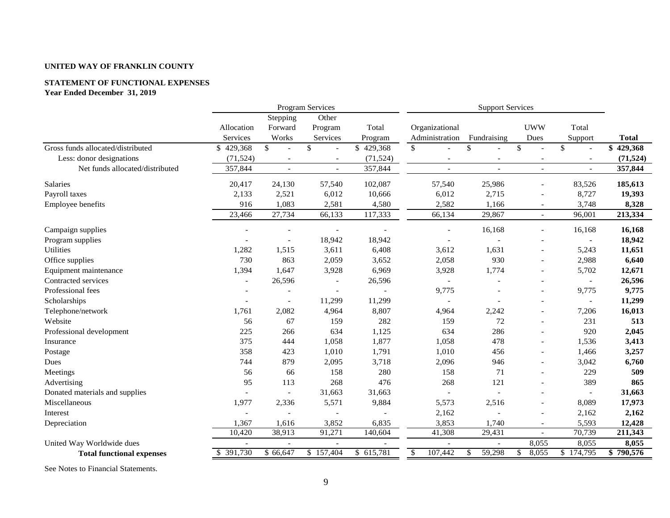#### **STATEMENT OF FUNCTIONAL EXPENSES**

**Year Ended December 31, 2019**

|                                   |                |                          | Program Services         |           |    | <b>Support Services</b>  |                          |                          |                          |              |  |
|-----------------------------------|----------------|--------------------------|--------------------------|-----------|----|--------------------------|--------------------------|--------------------------|--------------------------|--------------|--|
|                                   |                | Stepping                 | Other                    |           |    |                          |                          |                          |                          |              |  |
|                                   | Allocation     | Forward                  | Program                  | Total     |    | Organizational           |                          | <b>UWW</b>               | Total                    |              |  |
|                                   | Services       | Works                    | Services                 | Program   |    | Administration           | Fundraising              | Dues                     | Support                  | <b>Total</b> |  |
| Gross funds allocated/distributed | \$429,368      | \$                       | $\mathbb{S}$             | \$429,368 | \$ |                          | \$                       | \$                       | $\mathbb{S}$             | \$429,368    |  |
| Less: donor designations          | (71, 524)      | $\overline{\phantom{a}}$ | $\overline{\phantom{a}}$ | (71, 524) |    | $\overline{\phantom{a}}$ | $\overline{\phantom{a}}$ | $\overline{\phantom{a}}$ | $\overline{\phantom{a}}$ | (71, 524)    |  |
| Net funds allocated/distributed   | 357,844        | $\overline{\phantom{a}}$ | $\blacksquare$           | 357,844   |    | $\blacksquare$           | $\overline{\phantom{a}}$ | $\equiv$                 | $\overline{\phantom{a}}$ | 357,844      |  |
| Salaries                          | 20,417         | 24,130                   | 57,540                   | 102,087   |    | 57,540                   | 25,986                   | $\overline{a}$           | 83,526                   | 185,613      |  |
| Payroll taxes                     | 2,133          | 2,521                    | 6,012                    | 10,666    |    | 6,012                    | 2,715                    |                          | 8,727                    | 19,393       |  |
| Employee benefits                 | 916            | 1,083                    | 2,581                    | 4,580     |    | 2,582                    | 1,166                    |                          | 3,748                    | 8,328        |  |
|                                   | 23,466         | 27,734                   | 66,133                   | 117,333   |    | 66,134                   | 29,867                   | $\overline{\phantom{a}}$ | 96,001                   | 213,334      |  |
| Campaign supplies                 |                |                          |                          |           |    |                          | 16,168                   | $\overline{\phantom{0}}$ | 16,168                   | 16,168       |  |
| Program supplies                  |                | $\overline{\phantom{a}}$ | 18,942                   | 18,942    |    |                          |                          |                          |                          | 18,942       |  |
| <b>Utilities</b>                  | 1,282          | 1,515                    | 3,611                    | 6,408     |    | 3,612                    | 1,631                    | $\overline{\phantom{0}}$ | 5,243                    | 11,651       |  |
| Office supplies                   | 730            | 863                      | 2,059                    | 3,652     |    | 2,058                    | 930                      | $\overline{a}$           | 2,988                    | 6,640        |  |
| Equipment maintenance             | 1,394          | 1,647                    | 3,928                    | 6,969     |    | 3,928                    | 1,774                    | $\overline{a}$           | 5,702                    | 12,671       |  |
| Contracted services               |                | 26,596                   |                          | 26,596    |    |                          |                          |                          |                          | 26,596       |  |
| Professional fees                 | $\overline{a}$ |                          |                          |           |    | 9,775                    |                          | $\overline{a}$           | 9,775                    | 9,775        |  |
| Scholarships                      | $\overline{a}$ | $\overline{\phantom{a}}$ | 11,299                   | 11,299    |    |                          |                          | $\overline{a}$           | $\overline{\phantom{a}}$ | 11,299       |  |
| Telephone/network                 | 1,761          | 2,082                    | 4,964                    | 8,807     |    | 4,964                    | 2,242                    |                          | 7,206                    | 16,013       |  |
| Website                           | 56             | 67                       | 159                      | 282       |    | 159                      | 72                       | $\overline{a}$           | 231                      | 513          |  |
| Professional development          | 225            | 266                      | 634                      | 1,125     |    | 634                      | 286                      | $\overline{\phantom{0}}$ | 920                      | 2,045        |  |
| Insurance                         | 375            | 444                      | 1,058                    | 1,877     |    | 1,058                    | 478                      | $\overline{a}$           | 1,536                    | 3,413        |  |
| Postage                           | 358            | 423                      | 1,010                    | 1,791     |    | 1,010                    | 456                      | $\overline{a}$           | 1,466                    | 3,257        |  |
| Dues                              | 744            | 879                      | 2,095                    | 3,718     |    | 2,096                    | 946                      | $\overline{\phantom{a}}$ | 3,042                    | 6,760        |  |
| Meetings                          | 56             | 66                       | 158                      | 280       |    | 158                      | 71                       | $\overline{a}$           | 229                      | 509          |  |
| Advertising                       | 95             | 113                      | 268                      | 476       |    | 268                      | 121                      | $\overline{a}$           | 389                      | 865          |  |
| Donated materials and supplies    |                | $\overline{a}$           | 31,663                   | 31,663    |    |                          |                          | $\overline{a}$           | $\overline{\phantom{a}}$ | 31,663       |  |
| Miscellaneous                     | 1,977          | 2,336                    | 5,571                    | 9,884     |    | 5,573                    | 2,516                    | $\overline{\phantom{0}}$ | 8,089                    | 17,973       |  |
| Interest                          | $\overline{a}$ |                          |                          |           |    | 2,162                    |                          |                          | 2,162                    | 2,162        |  |
| Depreciation                      | 1,367          | 1,616                    | 3,852                    | 6,835     |    | 3,853                    | 1,740                    |                          | 5,593                    | 12,428       |  |
|                                   | 10,420         | 38,913                   | 91,271                   | 140,604   |    | 41,308                   | 29,431                   |                          | 70,739                   | 211,343      |  |
| United Way Worldwide dues         |                | $\overline{\phantom{a}}$ | $\overline{\phantom{a}}$ |           |    |                          | $\overline{\phantom{a}}$ | 8,055                    | 8,055                    | 8,055        |  |
| <b>Total functional expenses</b>  | \$ 391,730     | \$66.647                 | \$157,404                | \$615,781 | S. | 107,442                  | 59,298<br>\$             | 8,055<br>\$              | \$174,795                | \$790,576    |  |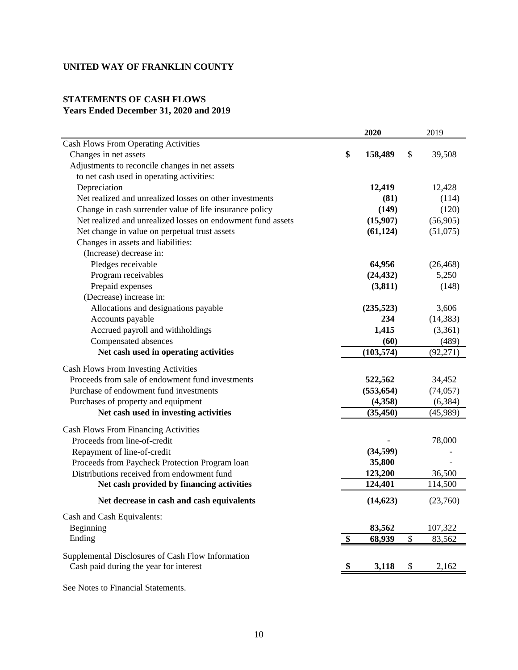# **STATEMENTS OF CASH FLOWS Years Ended December 31, 2020 and 2019**

|                                                             |                           | 2020       |                 | 2019      |
|-------------------------------------------------------------|---------------------------|------------|-----------------|-----------|
| <b>Cash Flows From Operating Activities</b>                 |                           |            |                 |           |
| Changes in net assets                                       | \$                        | 158,489    | \$              | 39,508    |
| Adjustments to reconcile changes in net assets              |                           |            |                 |           |
| to net cash used in operating activities:                   |                           |            |                 |           |
| Depreciation                                                |                           | 12,419     |                 | 12,428    |
| Net realized and unrealized losses on other investments     |                           | (81)       |                 | (114)     |
| Change in cash surrender value of life insurance policy     |                           | (149)      |                 | (120)     |
| Net realized and unrealized losses on endowment fund assets |                           | (15,907)   |                 | (56,905)  |
| Net change in value on perpetual trust assets               |                           | (61, 124)  |                 | (51,075)  |
| Changes in assets and liabilities:                          |                           |            |                 |           |
| (Increase) decrease in:                                     |                           |            |                 |           |
| Pledges receivable                                          |                           | 64,956     |                 | (26, 468) |
| Program receivables                                         |                           | (24, 432)  |                 | 5,250     |
| Prepaid expenses                                            |                           | (3,811)    |                 | (148)     |
| (Decrease) increase in:                                     |                           |            |                 |           |
| Allocations and designations payable                        |                           | (235, 523) |                 | 3,606     |
| Accounts payable                                            |                           | 234        |                 | (14, 383) |
| Accrued payroll and withholdings                            |                           | 1,415      |                 | (3,361)   |
| Compensated absences                                        |                           | (60)       |                 | (489)     |
| Net cash used in operating activities                       |                           | (103, 574) |                 | (92, 271) |
| <b>Cash Flows From Investing Activities</b>                 |                           |            |                 |           |
| Proceeds from sale of endowment fund investments            |                           | 522,562    |                 | 34,452    |
| Purchase of endowment fund investments                      |                           | (553, 654) |                 | (74, 057) |
| Purchases of property and equipment                         |                           | (4,358)    |                 | (6, 384)  |
| Net cash used in investing activities                       |                           | (35, 450)  |                 | (45,989)  |
|                                                             |                           |            |                 |           |
| <b>Cash Flows From Financing Activities</b>                 |                           |            |                 |           |
| Proceeds from line-of-credit                                |                           |            |                 | 78,000    |
| Repayment of line-of-credit                                 |                           | (34,599)   |                 |           |
| Proceeds from Paycheck Protection Program loan              |                           | 35,800     |                 |           |
| Distributions received from endowment fund                  |                           | 123,200    |                 | 36,500    |
| Net cash provided by financing activities                   |                           | 124,401    |                 | 114,500   |
| Net decrease in cash and cash equivalents                   |                           | (14, 623)  |                 | (23,760)  |
| Cash and Cash Equivalents:                                  |                           |            |                 |           |
| Beginning                                                   |                           | 83,562     |                 | 107,322   |
| Ending                                                      | $\boldsymbol{\mathsf{s}}$ | 68,939     | $\overline{\$}$ | 83,562    |
|                                                             |                           |            |                 |           |
| Supplemental Disclosures of Cash Flow Information           |                           |            |                 |           |
| Cash paid during the year for interest                      |                           | 3,118      | \$              | 2,162     |
|                                                             |                           |            |                 |           |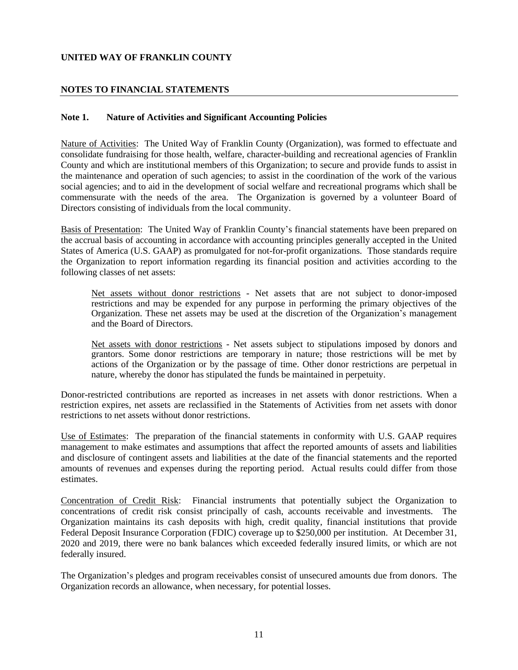### **NOTES TO FINANCIAL STATEMENTS**

#### **Note 1. Nature of Activities and Significant Accounting Policies**

Nature of Activities: The United Way of Franklin County (Organization), was formed to effectuate and consolidate fundraising for those health, welfare, character-building and recreational agencies of Franklin County and which are institutional members of this Organization; to secure and provide funds to assist in the maintenance and operation of such agencies; to assist in the coordination of the work of the various social agencies; and to aid in the development of social welfare and recreational programs which shall be commensurate with the needs of the area. The Organization is governed by a volunteer Board of Directors consisting of individuals from the local community.

Basis of Presentation: The United Way of Franklin County's financial statements have been prepared on the accrual basis of accounting in accordance with accounting principles generally accepted in the United States of America (U.S. GAAP) as promulgated for not-for-profit organizations. Those standards require the Organization to report information regarding its financial position and activities according to the following classes of net assets:

Net assets without donor restrictions - Net assets that are not subject to donor-imposed restrictions and may be expended for any purpose in performing the primary objectives of the Organization. These net assets may be used at the discretion of the Organization's management and the Board of Directors.

Net assets with donor restrictions - Net assets subject to stipulations imposed by donors and grantors. Some donor restrictions are temporary in nature; those restrictions will be met by actions of the Organization or by the passage of time. Other donor restrictions are perpetual in nature, whereby the donor has stipulated the funds be maintained in perpetuity.

Donor-restricted contributions are reported as increases in net assets with donor restrictions. When a restriction expires, net assets are reclassified in the Statements of Activities from net assets with donor restrictions to net assets without donor restrictions.

Use of Estimates: The preparation of the financial statements in conformity with U.S. GAAP requires management to make estimates and assumptions that affect the reported amounts of assets and liabilities and disclosure of contingent assets and liabilities at the date of the financial statements and the reported amounts of revenues and expenses during the reporting period. Actual results could differ from those estimates.

Concentration of Credit Risk: Financial instruments that potentially subject the Organization to concentrations of credit risk consist principally of cash, accounts receivable and investments. The Organization maintains its cash deposits with high, credit quality, financial institutions that provide Federal Deposit Insurance Corporation (FDIC) coverage up to \$250,000 per institution. At December 31, 2020 and 2019, there were no bank balances which exceeded federally insured limits, or which are not federally insured.

The Organization's pledges and program receivables consist of unsecured amounts due from donors. The Organization records an allowance, when necessary, for potential losses.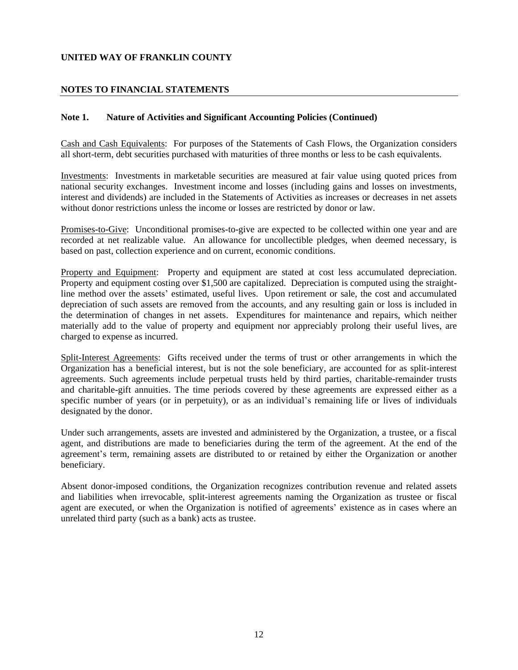## **NOTES TO FINANCIAL STATEMENTS**

### **Note 1. Nature of Activities and Significant Accounting Policies (Continued)**

Cash and Cash Equivalents: For purposes of the Statements of Cash Flows, the Organization considers all short-term, debt securities purchased with maturities of three months or less to be cash equivalents.

Investments: Investments in marketable securities are measured at fair value using quoted prices from national security exchanges. Investment income and losses (including gains and losses on investments, interest and dividends) are included in the Statements of Activities as increases or decreases in net assets without donor restrictions unless the income or losses are restricted by donor or law.

Promises-to-Give: Unconditional promises-to-give are expected to be collected within one year and are recorded at net realizable value. An allowance for uncollectible pledges, when deemed necessary, is based on past, collection experience and on current, economic conditions.

Property and Equipment: Property and equipment are stated at cost less accumulated depreciation. Property and equipment costing over \$1,500 are capitalized. Depreciation is computed using the straightline method over the assets' estimated, useful lives. Upon retirement or sale, the cost and accumulated depreciation of such assets are removed from the accounts, and any resulting gain or loss is included in the determination of changes in net assets. Expenditures for maintenance and repairs, which neither materially add to the value of property and equipment nor appreciably prolong their useful lives, are charged to expense as incurred.

Split-Interest Agreements: Gifts received under the terms of trust or other arrangements in which the Organization has a beneficial interest, but is not the sole beneficiary, are accounted for as split-interest agreements. Such agreements include perpetual trusts held by third parties, charitable-remainder trusts and charitable-gift annuities. The time periods covered by these agreements are expressed either as a specific number of years (or in perpetuity), or as an individual's remaining life or lives of individuals designated by the donor.

Under such arrangements, assets are invested and administered by the Organization, a trustee, or a fiscal agent, and distributions are made to beneficiaries during the term of the agreement. At the end of the agreement's term, remaining assets are distributed to or retained by either the Organization or another beneficiary.

Absent donor-imposed conditions, the Organization recognizes contribution revenue and related assets and liabilities when irrevocable, split-interest agreements naming the Organization as trustee or fiscal agent are executed, or when the Organization is notified of agreements' existence as in cases where an unrelated third party (such as a bank) acts as trustee.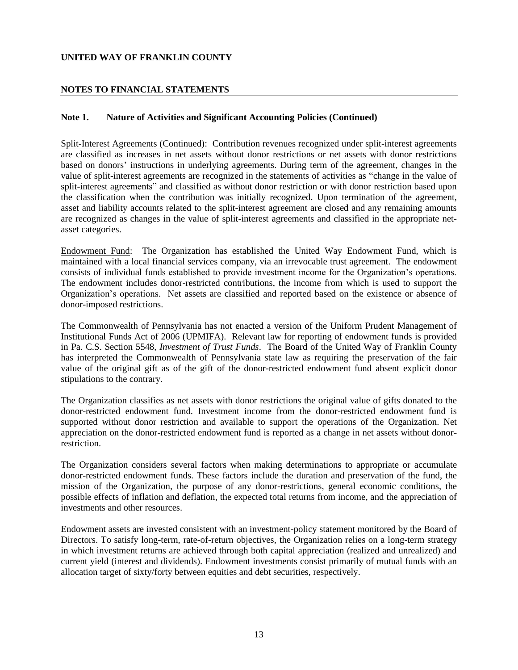## **NOTES TO FINANCIAL STATEMENTS**

## **Note 1. Nature of Activities and Significant Accounting Policies (Continued)**

Split-Interest Agreements (Continued): Contribution revenues recognized under split-interest agreements are classified as increases in net assets without donor restrictions or net assets with donor restrictions based on donors' instructions in underlying agreements. During term of the agreement, changes in the value of split-interest agreements are recognized in the statements of activities as "change in the value of split-interest agreements" and classified as without donor restriction or with donor restriction based upon the classification when the contribution was initially recognized. Upon termination of the agreement, asset and liability accounts related to the split-interest agreement are closed and any remaining amounts are recognized as changes in the value of split-interest agreements and classified in the appropriate netasset categories.

Endowment Fund: The Organization has established the United Way Endowment Fund, which is maintained with a local financial services company, via an irrevocable trust agreement. The endowment consists of individual funds established to provide investment income for the Organization's operations. The endowment includes donor-restricted contributions, the income from which is used to support the Organization's operations. Net assets are classified and reported based on the existence or absence of donor-imposed restrictions.

The Commonwealth of Pennsylvania has not enacted a version of the Uniform Prudent Management of Institutional Funds Act of 2006 (UPMIFA). Relevant law for reporting of endowment funds is provided in Pa. C.S. Section 5548, *Investment of Trust Funds*. The Board of the United Way of Franklin County has interpreted the Commonwealth of Pennsylvania state law as requiring the preservation of the fair value of the original gift as of the gift of the donor-restricted endowment fund absent explicit donor stipulations to the contrary.

The Organization classifies as net assets with donor restrictions the original value of gifts donated to the donor-restricted endowment fund. Investment income from the donor-restricted endowment fund is supported without donor restriction and available to support the operations of the Organization. Net appreciation on the donor-restricted endowment fund is reported as a change in net assets without donorrestriction.

The Organization considers several factors when making determinations to appropriate or accumulate donor-restricted endowment funds. These factors include the duration and preservation of the fund, the mission of the Organization, the purpose of any donor-restrictions, general economic conditions, the possible effects of inflation and deflation, the expected total returns from income, and the appreciation of investments and other resources.

Endowment assets are invested consistent with an investment-policy statement monitored by the Board of Directors. To satisfy long-term, rate-of-return objectives, the Organization relies on a long-term strategy in which investment returns are achieved through both capital appreciation (realized and unrealized) and current yield (interest and dividends). Endowment investments consist primarily of mutual funds with an allocation target of sixty/forty between equities and debt securities, respectively.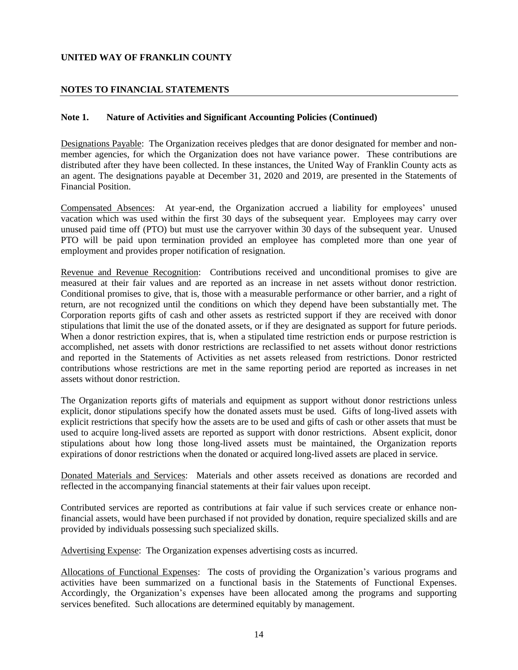### **NOTES TO FINANCIAL STATEMENTS**

#### **Note 1. Nature of Activities and Significant Accounting Policies (Continued)**

Designations Payable: The Organization receives pledges that are donor designated for member and nonmember agencies, for which the Organization does not have variance power. These contributions are distributed after they have been collected. In these instances, the United Way of Franklin County acts as an agent. The designations payable at December 31, 2020 and 2019, are presented in the Statements of Financial Position.

Compensated Absences: At year-end, the Organization accrued a liability for employees' unused vacation which was used within the first 30 days of the subsequent year. Employees may carry over unused paid time off (PTO) but must use the carryover within 30 days of the subsequent year. Unused PTO will be paid upon termination provided an employee has completed more than one year of employment and provides proper notification of resignation.

Revenue and Revenue Recognition: Contributions received and unconditional promises to give are measured at their fair values and are reported as an increase in net assets without donor restriction. Conditional promises to give, that is, those with a measurable performance or other barrier, and a right of return, are not recognized until the conditions on which they depend have been substantially met. The Corporation reports gifts of cash and other assets as restricted support if they are received with donor stipulations that limit the use of the donated assets, or if they are designated as support for future periods. When a donor restriction expires, that is, when a stipulated time restriction ends or purpose restriction is accomplished, net assets with donor restrictions are reclassified to net assets without donor restrictions and reported in the Statements of Activities as net assets released from restrictions. Donor restricted contributions whose restrictions are met in the same reporting period are reported as increases in net assets without donor restriction.

The Organization reports gifts of materials and equipment as support without donor restrictions unless explicit, donor stipulations specify how the donated assets must be used. Gifts of long-lived assets with explicit restrictions that specify how the assets are to be used and gifts of cash or other assets that must be used to acquire long-lived assets are reported as support with donor restrictions. Absent explicit, donor stipulations about how long those long-lived assets must be maintained, the Organization reports expirations of donor restrictions when the donated or acquired long-lived assets are placed in service.

Donated Materials and Services: Materials and other assets received as donations are recorded and reflected in the accompanying financial statements at their fair values upon receipt.

Contributed services are reported as contributions at fair value if such services create or enhance nonfinancial assets, would have been purchased if not provided by donation, require specialized skills and are provided by individuals possessing such specialized skills.

Advertising Expense: The Organization expenses advertising costs as incurred.

Allocations of Functional Expenses: The costs of providing the Organization's various programs and activities have been summarized on a functional basis in the Statements of Functional Expenses. Accordingly, the Organization's expenses have been allocated among the programs and supporting services benefited. Such allocations are determined equitably by management.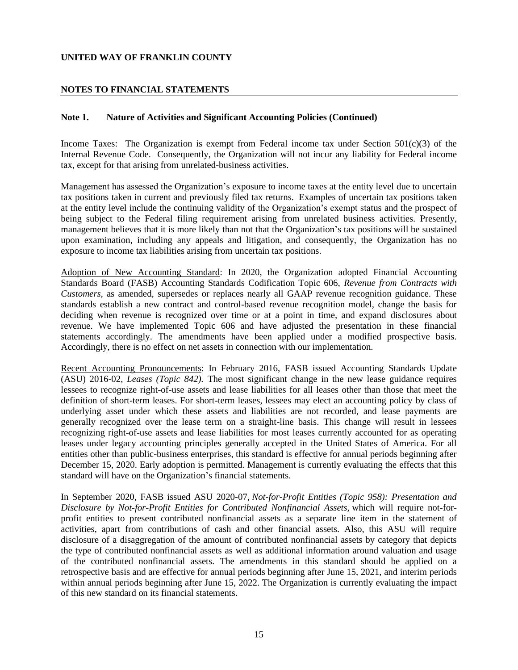### **NOTES TO FINANCIAL STATEMENTS**

#### **Note 1. Nature of Activities and Significant Accounting Policies (Continued)**

Income Taxes: The Organization is exempt from Federal income tax under Section  $501(c)(3)$  of the Internal Revenue Code. Consequently, the Organization will not incur any liability for Federal income tax, except for that arising from unrelated-business activities.

Management has assessed the Organization's exposure to income taxes at the entity level due to uncertain tax positions taken in current and previously filed tax returns. Examples of uncertain tax positions taken at the entity level include the continuing validity of the Organization's exempt status and the prospect of being subject to the Federal filing requirement arising from unrelated business activities. Presently, management believes that it is more likely than not that the Organization's tax positions will be sustained upon examination, including any appeals and litigation, and consequently, the Organization has no exposure to income tax liabilities arising from uncertain tax positions.

Adoption of New Accounting Standard: In 2020, the Organization adopted Financial Accounting Standards Board (FASB) Accounting Standards Codification Topic 606, *Revenue from Contracts with Customers*, as amended, supersedes or replaces nearly all GAAP revenue recognition guidance. These standards establish a new contract and control-based revenue recognition model, change the basis for deciding when revenue is recognized over time or at a point in time, and expand disclosures about revenue. We have implemented Topic 606 and have adjusted the presentation in these financial statements accordingly. The amendments have been applied under a modified prospective basis. Accordingly, there is no effect on net assets in connection with our implementation.

Recent Accounting Pronouncements: In February 2016, FASB issued Accounting Standards Update (ASU) 2016-02, *Leases (Topic 842).* The most significant change in the new lease guidance requires lessees to recognize right-of-use assets and lease liabilities for all leases other than those that meet the definition of short-term leases. For short-term leases, lessees may elect an accounting policy by class of underlying asset under which these assets and liabilities are not recorded, and lease payments are generally recognized over the lease term on a straight-line basis. This change will result in lessees recognizing right-of-use assets and lease liabilities for most leases currently accounted for as operating leases under legacy accounting principles generally accepted in the United States of America. For all entities other than public-business enterprises, this standard is effective for annual periods beginning after December 15, 2020. Early adoption is permitted. Management is currently evaluating the effects that this standard will have on the Organization's financial statements.

In September 2020, FASB issued ASU 2020-07, *Not-for-Profit Entities (Topic 958): Presentation and Disclosure by Not-for-Profit Entities for Contributed Nonfinancial Assets,* which will require not-forprofit entities to present contributed nonfinancial assets as a separate line item in the statement of activities, apart from contributions of cash and other financial assets. Also, this ASU will require disclosure of a disaggregation of the amount of contributed nonfinancial assets by category that depicts the type of contributed nonfinancial assets as well as additional information around valuation and usage of the contributed nonfinancial assets. The amendments in this standard should be applied on a retrospective basis and are effective for annual periods beginning after June 15, 2021, and interim periods within annual periods beginning after June 15, 2022. The Organization is currently evaluating the impact of this new standard on its financial statements.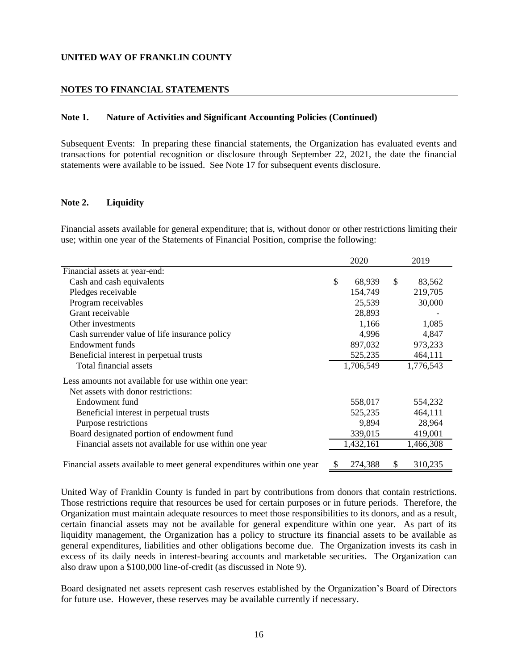#### **NOTES TO FINANCIAL STATEMENTS**

#### **Note 1. Nature of Activities and Significant Accounting Policies (Continued)**

Subsequent Events: In preparing these financial statements, the Organization has evaluated events and transactions for potential recognition or disclosure through September 22, 2021, the date the financial statements were available to be issued. See Note 17 for subsequent events disclosure.

#### **Note 2. Liquidity**

Financial assets available for general expenditure; that is, without donor or other restrictions limiting their use; within one year of the Statements of Financial Position, comprise the following:

|                                                                         | 2020          |    | 2019      |
|-------------------------------------------------------------------------|---------------|----|-----------|
| Financial assets at year-end:                                           |               |    |           |
| Cash and cash equivalents                                               | \$<br>68,939  | S  | 83,562    |
| Pledges receivable                                                      | 154,749       |    | 219,705   |
| Program receivables                                                     | 25,539        |    | 30,000    |
| Grant receivable                                                        | 28,893        |    |           |
| Other investments                                                       | 1,166         |    | 1,085     |
| Cash surrender value of life insurance policy                           | 4,996         |    | 4,847     |
| Endowment funds                                                         | 897,032       |    | 973,233   |
| Beneficial interest in perpetual trusts                                 | 525,235       |    | 464,111   |
| Total financial assets                                                  | 1,706,549     |    | 1,776,543 |
| Less amounts not available for use within one year:                     |               |    |           |
| Net assets with donor restrictions:                                     |               |    |           |
| Endowment fund                                                          | 558,017       |    | 554,232   |
| Beneficial interest in perpetual trusts                                 | 525,235       |    | 464,111   |
| Purpose restrictions                                                    | 9,894         |    | 28,964    |
| Board designated portion of endowment fund                              | 339,015       |    | 419,001   |
| Financial assets not available for use within one year                  | 1,432,161     |    | 1,466,308 |
| Financial assets available to meet general expenditures within one year | \$<br>274,388 | \$ | 310,235   |
|                                                                         |               |    |           |

United Way of Franklin County is funded in part by contributions from donors that contain restrictions. Those restrictions require that resources be used for certain purposes or in future periods. Therefore, the Organization must maintain adequate resources to meet those responsibilities to its donors, and as a result, certain financial assets may not be available for general expenditure within one year. As part of its liquidity management, the Organization has a policy to structure its financial assets to be available as general expenditures, liabilities and other obligations become due. The Organization invests its cash in excess of its daily needs in interest-bearing accounts and marketable securities. The Organization can also draw upon a \$100,000 line-of-credit (as discussed in Note 9).

Board designated net assets represent cash reserves established by the Organization's Board of Directors for future use. However, these reserves may be available currently if necessary.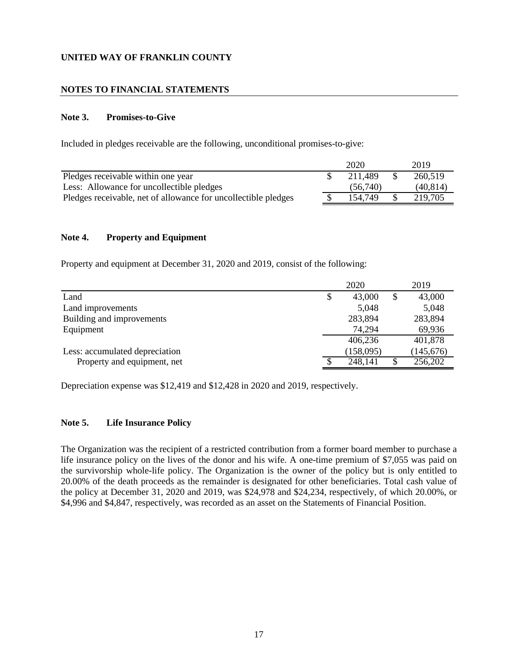#### **NOTES TO FINANCIAL STATEMENTS**

#### **Note 3. Promises-to-Give**

Included in pledges receivable are the following, unconditional promises-to-give:

|                                                                | 2020     | 2019      |
|----------------------------------------------------------------|----------|-----------|
| Pledges receivable within one year                             | 211.489  | 260,519   |
| Less: Allowance for uncollectible pledges                      | (56.740) | (40, 814) |
| Pledges receivable, net of allowance for uncollectible pledges | 154.749  | 219,705   |

#### **Note 4. Property and Equipment**

Property and equipment at December 31, 2020 and 2019, consist of the following:

|                                | 2020      | 2019         |
|--------------------------------|-----------|--------------|
| Land                           | 43,000    | \$<br>43,000 |
| Land improvements              | 5,048     | 5,048        |
| Building and improvements      | 283,894   | 283,894      |
| Equipment                      | 74,294    | 69,936       |
|                                | 406,236   | 401,878      |
| Less: accumulated depreciation | (158,095) | (145, 676)   |
| Property and equipment, net    | 248,141   | 256,202      |

Depreciation expense was \$12,419 and \$12,428 in 2020 and 2019, respectively.

#### **Note 5. Life Insurance Policy**

The Organization was the recipient of a restricted contribution from a former board member to purchase a life insurance policy on the lives of the donor and his wife. A one-time premium of \$7,055 was paid on the survivorship whole-life policy. The Organization is the owner of the policy but is only entitled to 20.00% of the death proceeds as the remainder is designated for other beneficiaries. Total cash value of the policy at December 31, 2020 and 2019, was \$24,978 and \$24,234, respectively, of which 20.00%, or \$4,996 and \$4,847, respectively, was recorded as an asset on the Statements of Financial Position.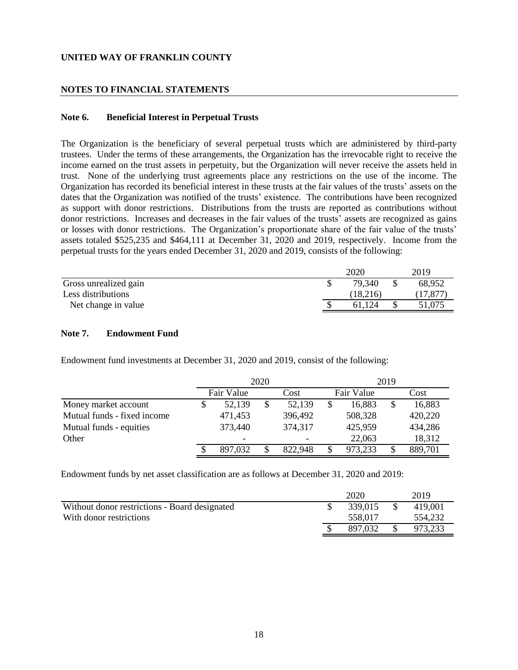#### **NOTES TO FINANCIAL STATEMENTS**

#### **Note 6. Beneficial Interest in Perpetual Trusts**

The Organization is the beneficiary of several perpetual trusts which are administered by third-party trustees. Under the terms of these arrangements, the Organization has the irrevocable right to receive the income earned on the trust assets in perpetuity, but the Organization will never receive the assets held in trust. None of the underlying trust agreements place any restrictions on the use of the income. The Organization has recorded its beneficial interest in these trusts at the fair values of the trusts' assets on the dates that the Organization was notified of the trusts' existence. The contributions have been recognized as support with donor restrictions. Distributions from the trusts are reported as contributions without donor restrictions. Increases and decreases in the fair values of the trusts' assets are recognized as gains or losses with donor restrictions. The Organization's proportionate share of the fair value of the trusts' assets totaled \$525,235 and \$464,111 at December 31, 2020 and 2019, respectively. Income from the perpetual trusts for the years ended December 31, 2020 and 2019, consists of the following:

|                       | 2020            | 2019   |
|-----------------------|-----------------|--------|
| Gross unrealized gain | 79,340          | 68,952 |
| Less distributions    | (18,216)        | 17,877 |
| Net change in value   | 12 <sub>4</sub> | 51,075 |

#### **Note 7. Endowment Fund**

Endowment fund investments at December 31, 2020 and 2019, consist of the following:

|                             | 2020       |   |         |    |            |    |         |
|-----------------------------|------------|---|---------|----|------------|----|---------|
|                             | Fair Value |   | Cost    |    | Fair Value |    | Cost    |
| Money market account        | 52,139     | S | 52,139  | S  | 16,883     | \$ | 16,883  |
| Mutual funds - fixed income | 471,453    |   | 396,492 |    | 508,328    |    | 420,220 |
| Mutual funds - equities     | 373,440    |   | 374,317 |    | 425,959    |    | 434,286 |
| Other                       |            |   |         |    | 22,063     |    | 18,312  |
|                             | 897,032    |   | 822,948 | \$ | 973,233    | S  | 889,701 |

Endowment funds by net asset classification are as follows at December 31, 2020 and 2019:

|                                               | 2020    | 2019    |
|-----------------------------------------------|---------|---------|
| Without donor restrictions - Board designated | 339,015 | 419,001 |
| With donor restrictions                       | 558.017 | 554.232 |
|                                               | 897.032 | 973,233 |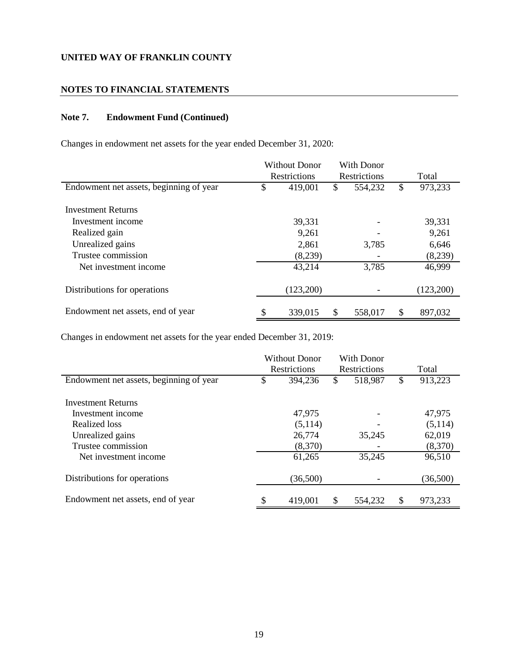# **NOTES TO FINANCIAL STATEMENTS**

# **Note 7. Endowment Fund (Continued)**

Changes in endowment net assets for the year ended December 31, 2020:

|                                         | Without Donor |              | <b>With Donor</b> |         |               |           |
|-----------------------------------------|---------------|--------------|-------------------|---------|---------------|-----------|
|                                         |               | Restrictions | Restrictions      |         |               | Total     |
| Endowment net assets, beginning of year |               | 419,001      | \$                | 554,232 | S             | 973,233   |
| <b>Investment Returns</b>               |               |              |                   |         |               |           |
| Investment income                       |               | 39,331       |                   |         |               | 39,331    |
| Realized gain                           |               | 9,261        |                   |         |               | 9,261     |
| Unrealized gains                        |               | 2,861        |                   | 3,785   |               | 6,646     |
| Trustee commission                      |               | (8,239)      |                   |         |               | (8,239)   |
| Net investment income                   |               | 43,214       |                   | 3,785   |               | 46,999    |
| Distributions for operations            |               | (123,200)    |                   |         |               | (123,200) |
| Endowment net assets, end of year       | \$            | 339,015      | S                 | 558,017 | <sup>\$</sup> | 897,032   |

Changes in endowment net assets for the year ended December 31, 2019:

|                                         | <b>Without Donor</b> |                     | With Donor   |         |               |  |
|-----------------------------------------|----------------------|---------------------|--------------|---------|---------------|--|
|                                         |                      | <b>Restrictions</b> | Restrictions |         | Total         |  |
| Endowment net assets, beginning of year | \$                   | 394,236             | \$           | 518,987 | \$<br>913,223 |  |
| Investment Returns                      |                      |                     |              |         |               |  |
| Investment income                       |                      | 47,975              |              |         | 47,975        |  |
| Realized loss                           |                      | (5,114)             |              |         | (5, 114)      |  |
| Unrealized gains                        |                      | 26,774              |              | 35,245  | 62,019        |  |
| Trustee commission                      |                      | (8,370)             |              |         | (8,370)       |  |
| Net investment income                   |                      | 61,265              |              | 35,245  | 96,510        |  |
| Distributions for operations            |                      | (36,500)            |              |         | (36,500)      |  |
| Endowment net assets, end of year       | \$                   | 419,001             | S            | 554,232 | \$<br>973,233 |  |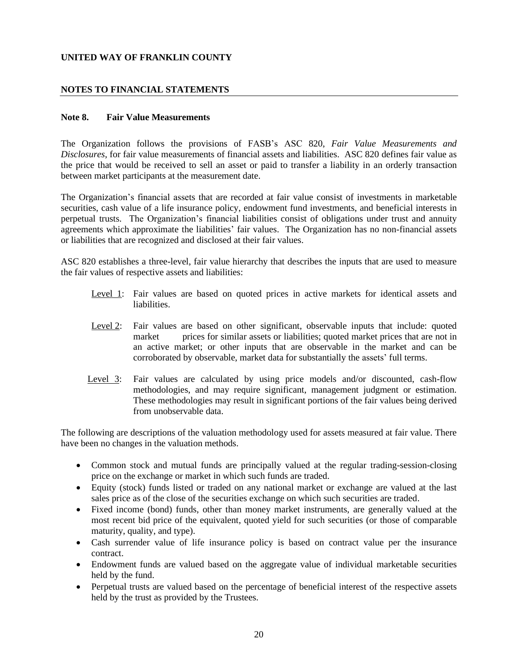#### **NOTES TO FINANCIAL STATEMENTS**

#### **Note 8. Fair Value Measurements**

The Organization follows the provisions of FASB's ASC 820, *Fair Value Measurements and Disclosures*, for fair value measurements of financial assets and liabilities. ASC 820 defines fair value as the price that would be received to sell an asset or paid to transfer a liability in an orderly transaction between market participants at the measurement date.

The Organization's financial assets that are recorded at fair value consist of investments in marketable securities, cash value of a life insurance policy, endowment fund investments, and beneficial interests in perpetual trusts. The Organization's financial liabilities consist of obligations under trust and annuity agreements which approximate the liabilities' fair values. The Organization has no non-financial assets or liabilities that are recognized and disclosed at their fair values.

ASC 820 establishes a three-level, fair value hierarchy that describes the inputs that are used to measure the fair values of respective assets and liabilities:

- Level 1: Fair values are based on quoted prices in active markets for identical assets and liabilities.
- Level 2: Fair values are based on other significant, observable inputs that include: quoted market prices for similar assets or liabilities; quoted market prices that are not in an active market; or other inputs that are observable in the market and can be corroborated by observable, market data for substantially the assets' full terms.
- Level 3: Fair values are calculated by using price models and/or discounted, cash-flow methodologies, and may require significant, management judgment or estimation. These methodologies may result in significant portions of the fair values being derived from unobservable data.

The following are descriptions of the valuation methodology used for assets measured at fair value. There have been no changes in the valuation methods.

- Common stock and mutual funds are principally valued at the regular trading-session-closing price on the exchange or market in which such funds are traded.
- Equity (stock) funds listed or traded on any national market or exchange are valued at the last sales price as of the close of the securities exchange on which such securities are traded.
- Fixed income (bond) funds, other than money market instruments, are generally valued at the most recent bid price of the equivalent, quoted yield for such securities (or those of comparable maturity, quality, and type).
- Cash surrender value of life insurance policy is based on contract value per the insurance contract.
- Endowment funds are valued based on the aggregate value of individual marketable securities held by the fund.
- Perpetual trusts are valued based on the percentage of beneficial interest of the respective assets held by the trust as provided by the Trustees.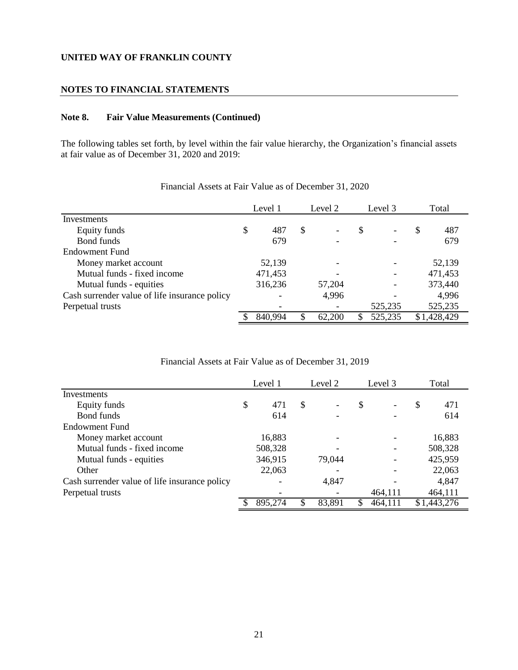# **NOTES TO FINANCIAL STATEMENTS**

# **Note 8. Fair Value Measurements (Continued)**

The following tables set forth, by level within the fair value hierarchy, the Organization's financial assets at fair value as of December 31, 2020 and 2019:

|                                               | Level 1   |    | Level 2 | Level 3 |   | Total       |
|-----------------------------------------------|-----------|----|---------|---------|---|-------------|
| Investments                                   |           |    |         |         |   |             |
| Equity funds                                  | \$<br>487 | \$ |         | \$      | S | 487         |
| Bond funds                                    | 679       |    |         |         |   | 679         |
| Endowment Fund                                |           |    |         |         |   |             |
| Money market account                          | 52,139    |    |         |         |   | 52,139      |
| Mutual funds - fixed income                   | 471,453   |    |         |         |   | 471,453     |
| Mutual funds - equities                       | 316,236   |    | 57,204  |         |   | 373,440     |
| Cash surrender value of life insurance policy |           |    | 4,996   |         |   | 4,996       |
| Perpetual trusts                              |           |    |         | 525,235 |   | 525,235     |
|                                               | 840.994   | S  | 62,200  | 525,235 |   | \$1,428,429 |

Financial Assets at Fair Value as of December 31, 2020

| Financial Assets at Fair Value as of December 31, 2019 |
|--------------------------------------------------------|
|                                                        |

|                                               | Level 1<br>Level 2 |    |                          | Level 3 |                 |   | Total       |
|-----------------------------------------------|--------------------|----|--------------------------|---------|-----------------|---|-------------|
| Investments                                   |                    |    |                          |         |                 |   |             |
| Equity funds                                  | \$<br>471          | \$ | $\overline{\phantom{a}}$ | \$      | $\qquad \qquad$ | S | 471         |
| Bond funds                                    | 614                |    |                          |         |                 |   | 614         |
| <b>Endowment Fund</b>                         |                    |    |                          |         |                 |   |             |
| Money market account                          | 16,883             |    |                          |         |                 |   | 16,883      |
| Mutual funds - fixed income                   | 508,328            |    |                          |         |                 |   | 508,328     |
| Mutual funds - equities                       | 346,915            |    | 79,044                   |         |                 |   | 425,959     |
| Other                                         | 22,063             |    |                          |         |                 |   | 22,063      |
| Cash surrender value of life insurance policy |                    |    | 4,847                    |         |                 |   | 4,847       |
| Perpetual trusts                              |                    |    |                          |         | 464,111         |   | 464,111     |
|                                               | 895,274            | \$ | 83,891                   |         | 464,111         |   | \$1,443,276 |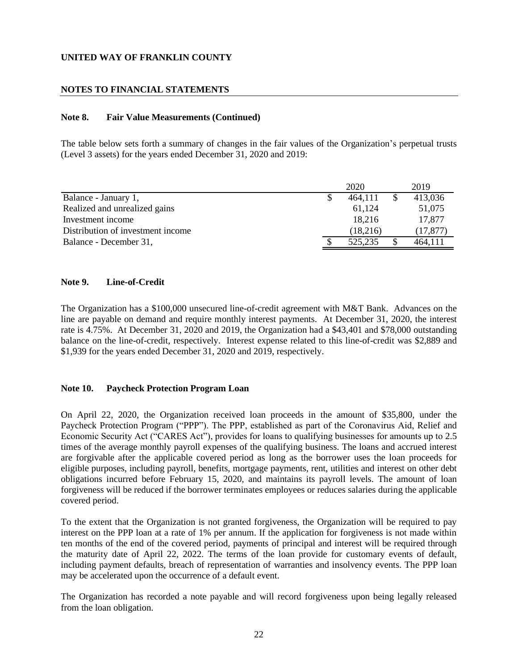#### **NOTES TO FINANCIAL STATEMENTS**

#### **Note 8. Fair Value Measurements (Continued)**

The table below sets forth a summary of changes in the fair values of the Organization's perpetual trusts (Level 3 assets) for the years ended December 31, 2020 and 2019:

|                                   | 2020     | 2019      |
|-----------------------------------|----------|-----------|
| Balance - January 1,              | 464,111  | 413,036   |
| Realized and unrealized gains     | 61,124   | 51,075    |
| Investment income                 | 18.216   | 17,877    |
| Distribution of investment income | (18,216) | (17, 877) |
| Balance - December 31,            | 525,235  | 464,111   |

#### **Note 9. Line-of-Credit**

The Organization has a \$100,000 unsecured line-of-credit agreement with M&T Bank. Advances on the line are payable on demand and require monthly interest payments. At December 31, 2020, the interest rate is 4.75%. At December 31, 2020 and 2019, the Organization had a \$43,401 and \$78,000 outstanding balance on the line-of-credit, respectively. Interest expense related to this line-of-credit was \$2,889 and \$1,939 for the years ended December 31, 2020 and 2019, respectively.

#### **Note 10. Paycheck Protection Program Loan**

On April 22, 2020, the Organization received loan proceeds in the amount of \$35,800, under the Paycheck Protection Program ("PPP"). The PPP, established as part of the Coronavirus Aid, Relief and Economic Security Act ("CARES Act"), provides for loans to qualifying businesses for amounts up to 2.5 times of the average monthly payroll expenses of the qualifying business. The loans and accrued interest are forgivable after the applicable covered period as long as the borrower uses the loan proceeds for eligible purposes, including payroll, benefits, mortgage payments, rent, utilities and interest on other debt obligations incurred before February 15, 2020, and maintains its payroll levels. The amount of loan forgiveness will be reduced if the borrower terminates employees or reduces salaries during the applicable covered period.

To the extent that the Organization is not granted forgiveness, the Organization will be required to pay interest on the PPP loan at a rate of 1% per annum. If the application for forgiveness is not made within ten months of the end of the covered period, payments of principal and interest will be required through the maturity date of April 22, 2022. The terms of the loan provide for customary events of default, including payment defaults, breach of representation of warranties and insolvency events. The PPP loan may be accelerated upon the occurrence of a default event.

The Organization has recorded a note payable and will record forgiveness upon being legally released from the loan obligation.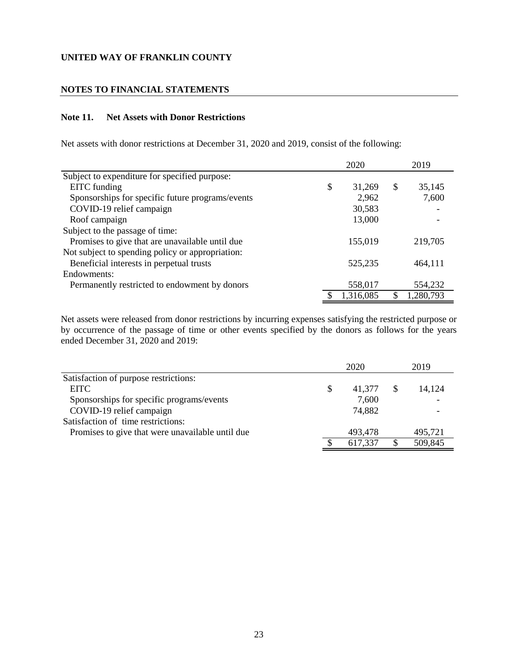# **NOTES TO FINANCIAL STATEMENTS**

## **Note 11. Net Assets with Donor Restrictions**

Net assets with donor restrictions at December 31, 2020 and 2019, consist of the following:

|                                                  | 2020         | 2019           |
|--------------------------------------------------|--------------|----------------|
| Subject to expenditure for specified purpose:    |              |                |
| EITC funding                                     | \$<br>31,269 | \$<br>35,145   |
| Sponsorships for specific future programs/events | 2,962        | 7,600          |
| COVID-19 relief campaign                         | 30,583       |                |
| Roof campaign                                    | 13,000       |                |
| Subject to the passage of time:                  |              |                |
| Promises to give that are unavailable until due  | 155,019      | 219,705        |
| Not subject to spending policy or appropriation: |              |                |
| Beneficial interests in perpetual trusts         | 525,235      | 464,111        |
| Endowments:                                      |              |                |
| Permanently restricted to endowment by donors    | 558,017      | 554,232        |
|                                                  | 1,316,085    | \$<br>,280,793 |

Net assets were released from donor restrictions by incurring expenses satisfying the restricted purpose or by occurrence of the passage of time or other events specified by the donors as follows for the years ended December 31, 2020 and 2019:

|                                                  | 2020 |         |               | 2019    |
|--------------------------------------------------|------|---------|---------------|---------|
| Satisfaction of purpose restrictions:            |      |         |               |         |
| <b>EITC</b>                                      |      | 41,377  | <sup>\$</sup> | 14,124  |
| Sponsorships for specific programs/events        |      | 7,600   |               |         |
| COVID-19 relief campaign                         |      | 74,882  |               |         |
| Satisfaction of time restrictions:               |      |         |               |         |
| Promises to give that were unavailable until due |      | 493,478 |               | 495,721 |
|                                                  |      | 617,337 |               | 509,845 |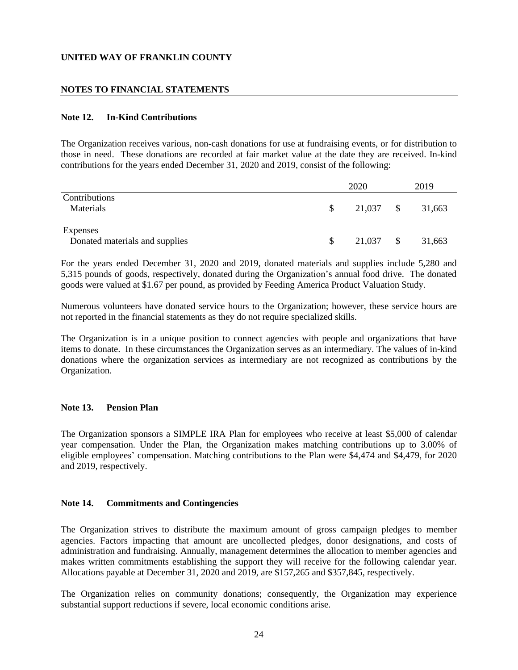#### **NOTES TO FINANCIAL STATEMENTS**

#### **Note 12. In-Kind Contributions**

The Organization receives various, non-cash donations for use at fundraising events, or for distribution to those in need. These donations are recorded at fair market value at the date they are received. In-kind contributions for the years ended December 31, 2020 and 2019, consist of the following:

|                                | 2020   |      | 2019   |
|--------------------------------|--------|------|--------|
| Contributions                  |        |      |        |
| Materials                      | 21,037 | - \$ | 31,663 |
| Expenses                       |        |      |        |
| Donated materials and supplies | 21,037 |      | 31,663 |

For the years ended December 31, 2020 and 2019, donated materials and supplies include 5,280 and 5,315 pounds of goods, respectively, donated during the Organization's annual food drive. The donated goods were valued at \$1.67 per pound, as provided by Feeding America Product Valuation Study.

Numerous volunteers have donated service hours to the Organization; however, these service hours are not reported in the financial statements as they do not require specialized skills.

The Organization is in a unique position to connect agencies with people and organizations that have items to donate. In these circumstances the Organization serves as an intermediary. The values of in-kind donations where the organization services as intermediary are not recognized as contributions by the Organization.

#### **Note 13. Pension Plan**

The Organization sponsors a SIMPLE IRA Plan for employees who receive at least \$5,000 of calendar year compensation. Under the Plan, the Organization makes matching contributions up to 3.00% of eligible employees' compensation. Matching contributions to the Plan were \$4,474 and \$4,479, for 2020 and 2019, respectively.

#### **Note 14. Commitments and Contingencies**

The Organization strives to distribute the maximum amount of gross campaign pledges to member agencies. Factors impacting that amount are uncollected pledges, donor designations, and costs of administration and fundraising. Annually, management determines the allocation to member agencies and makes written commitments establishing the support they will receive for the following calendar year. Allocations payable at December 31, 2020 and 2019, are \$157,265 and \$357,845, respectively.

The Organization relies on community donations; consequently, the Organization may experience substantial support reductions if severe, local economic conditions arise.